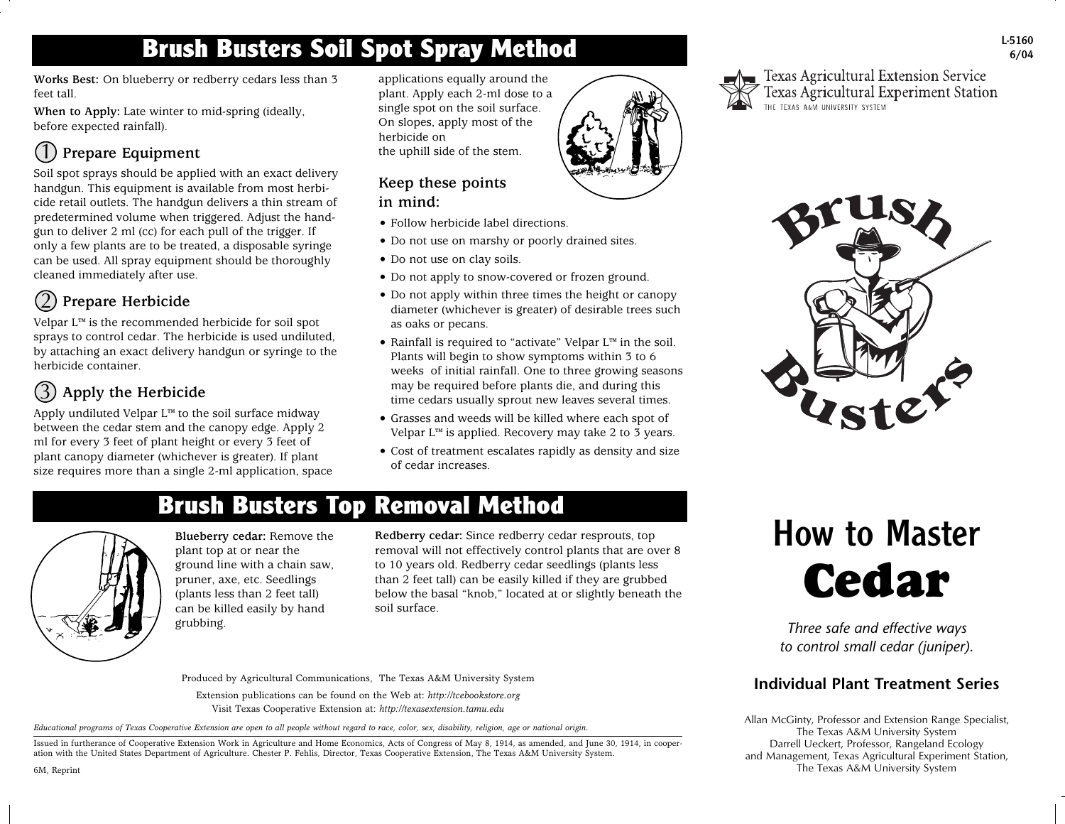# **Brush Busters Soil Spot Spray Method**

**Works Best:** On blueberry or redberry cedars less than 3 feet tall.

**When to Apply:** Late winter to mid-spring (ideally, before expected rainfall).

## **Prepare Equipment**  $(1)$

Soil spot sprays should be applied with an exact delivery handgun. This equipment is available from most herbicide retail outlets. The handgun delivers a thin stream of predetermined volume when triggered. Adjust the handgun to deliver 2 ml (cc) for each pull of the trigger. If only a few plants are to be treated, a disposable syringe can be used. All spray equipment should be thoroughly cleaned immediately after use.

#### **Prepare Herbicide** 2

Velpar L™ is the recommended herbicide for soil spot sprays to control cedar. The herbicide is used undiluted, by attaching an exact delivery handgun or syringe to the herbicide container.

## **Apply the Herbicide** 3

Apply undiluted Velpar L™ to the soil surface midway between the cedar stem and the canopy edge. Apply 2 ml for every 3 feet of plant height or every 3 feet of plant canopy diameter (whichever is greater). If plant size requires more than a single 2-ml application, space

applications equally around the plant. Apply each 2-ml dose to a single spot on the soil surface. On slopes, apply most of the herbicide on the uphill side of the stem.

## **Keep these points in mind:**

- Follow herbicide label directions.
- Do not use on marshy or poorly drained sites.
- Do not use on clay soils.
- Do not apply to snow-covered or frozen ground.
- Do not apply within three times the height or canopy diameter (whichever is greater) of desirable trees such as oaks or pecans.
- Rainfall is required to "activate" Velpar L™ in the soil. Plants will begin to show symptoms within 3 to 6 weeks of initial rainfall. One to three growing seasons may be required before plants die, and during this time cedars usually sprout new leaves several times.
- Grasses and weeds will be killed where each spot of Velpar L™ is applied. Recovery may take 2 to 3 years.
- Cost of treatment escalates rapidly as density and size of cedar increases.



Texas Agricultural Extension Service Texas Agricultural Experiment Station



## **Brush Busters Top Removal Method**



**Blueberry cedar:** Remove the plant top at or near the ground line with a chain saw, pruner, axe, etc. Seedlings (plants less than 2 feet tall) can be killed easily by hand grubbing.

**Redberry cedar:** Since redberry cedar resprouts, top removal will not effectively control plants that are over 8 to 10 years old. Redberry cedar seedlings (plants less than 2 feet tall) can be easily killed if they are grubbed below the basal "knob," located at or slightly beneath the soil surface.

# How to Master **Cedar**

*Three safe and effective ways to control small cedar (juniper).*

## **Individual Plant Treatment Series**

Allan McGinty, Professor and Extension Range Specialist, The Texas A&M University System Darrell Ueckert, Professor, Rangeland Ecology and Management, Texas Agricultural Experiment Station, The Texas A&M University System

Produced by Agricultural Communications, The Texas A&M University System

Extension publications can be found on the Web at: *http://tcebookstore.org* Visit Texas Cooperative Extension at: *http://texasextension.tamu.edu*

*Educational programs of Texas Cooperative Extension are open to all people without regard to race, color, sex, disability, religion, age or national origin.*

Issued in furtherance of Cooperative Extension Work in Agriculture and Home Economics, Acts of Congress of May 8, 1914, as amended, and June 30, 1914, in cooperation with the United States Department of Agriculture. Chester P. Fehlis, Director, Texas Cooperative Extension, The Texas A&M University System.